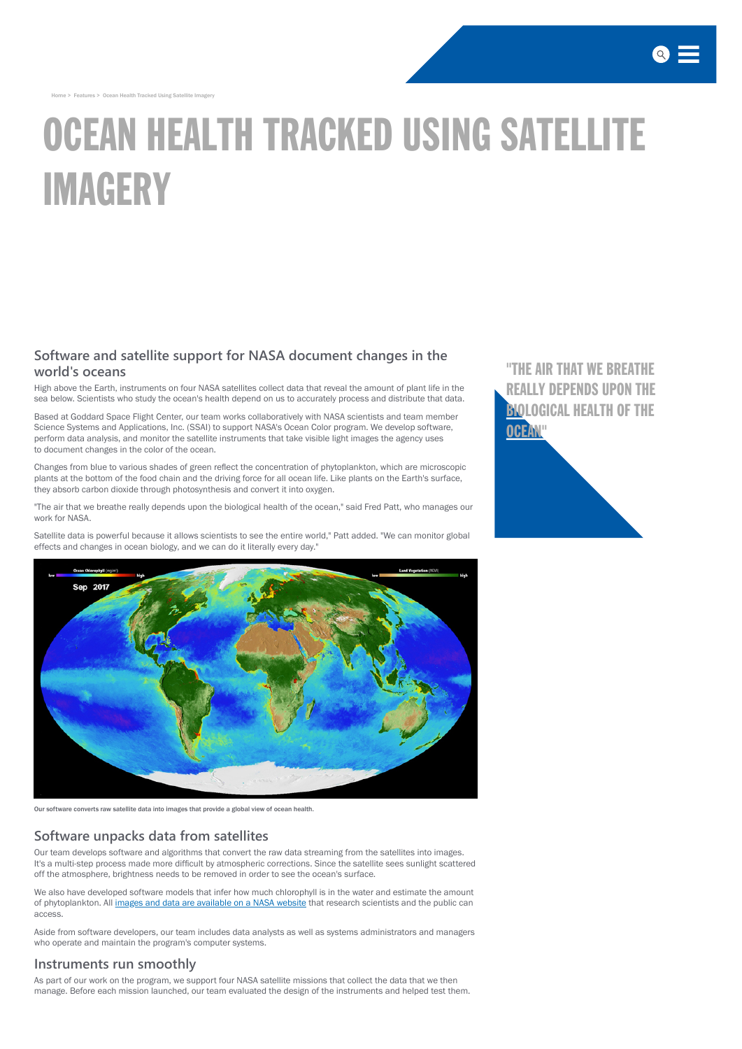[Home](http://www.saic.com/) > Features > Ocean Health Tracked Using Satellite Imagery

# OCEAN HEALTH TRACKED USING SATELLITE IMAGERY

# **Software and satellite support for NASA document changes in the world's oceans**

High above the Earth, instruments on four NASA satellites collect data that reveal the amount of plant life in the sea below. Scientists who study the ocean's health depend on us to accurately process and distribute that data.

Based at Goddard Space Flight Center, our team works collaboratively with NASA scientists and team member Science Systems and Applications, Inc. (SSAI) to support NASA's Ocean Color program. We develop software, perform data analysis, and monitor the satellite instruments that take visible light images the agency uses to document changes in the color of the ocean.

Changes from blue to various shades of green reflect the concentration of phytoplankton, which are microscopic plants at the bottom of the food chain and the driving force for all ocean life. Like plants on the Earth's surface, they absorb carbon dioxide through photosynthesis and convert it into oxygen.

We also have developed software models that infer how much chlorophyll is in the water and estimate the amount of phytoplankton. All images and data are available [on a NASA](https://oceancolor.gsfc.nasa.gov/) website that research scientists and the public can access.

"The air that we breathe really depends upon the biological health of the ocean, " said Fred Patt, who manages our work for NASA.

"THE AIR THAT WE BREATHE [REALLY DEPENDS UPON THE](http://www.saic.com/features/ocean-health-tracked-using-satellite-imagery) **BIOLOGICAL HEALTH OF THE OCEAN"** 



Satellite data is powerful because it allows scientists to see the entire world, " Patt added. "We can monitor global effects and changes in ocean biology, and we can do it literally every day. "



## **Software unpacks data from satellites**

Our team develops software and algorithms that convert the raw data streaming from the satellites into images. It's a multi-step process made more difficult by atmospheric corrections. Since the satellite sees sunlight scattered off the atmosphere, brightness needs to be removed in order to see the ocean's surface.

Aside from software developers, our team includes data analysts as well as systems administrators and managers who operate and maintain the program's computer systems.

### **Instruments run smoothly**

As part of our work on the program, we support four NASA satellite missions that collect the data that we then manage. Before each mission launched, our team evaluated the design of the instruments and helped test them.